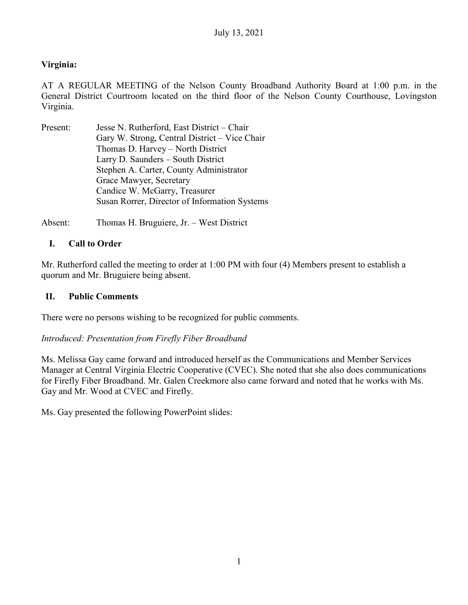## **Virginia:**

AT A REGULAR MEETING of the Nelson County Broadband Authority Board at 1:00 p.m. in the General District Courtroom located on the third floor of the Nelson County Courthouse, Lovingston Virginia.

Present: Jesse N. Rutherford, East District – Chair Gary W. Strong, Central District – Vice Chair Thomas D. Harvey – North District Larry D. Saunders – South District Stephen A. Carter, County Administrator Grace Mawyer, Secretary Candice W. McGarry, Treasurer Susan Rorrer, Director of Information Systems

Absent: Thomas H. Bruguiere, Jr. – West District

## **I. Call to Order**

Mr. Rutherford called the meeting to order at 1:00 PM with four (4) Members present to establish a quorum and Mr. Bruguiere being absent.

#### **II. Public Comments**

There were no persons wishing to be recognized for public comments.

## *Introduced: Presentation from Firefly Fiber Broadband*

Ms. Melissa Gay came forward and introduced herself as the Communications and Member Services Manager at Central Virginia Electric Cooperative (CVEC). She noted that she also does communications for Firefly Fiber Broadband. Mr. Galen Creekmore also came forward and noted that he works with Ms. Gay and Mr. Wood at CVEC and Firefly.

Ms. Gay presented the following PowerPoint slides: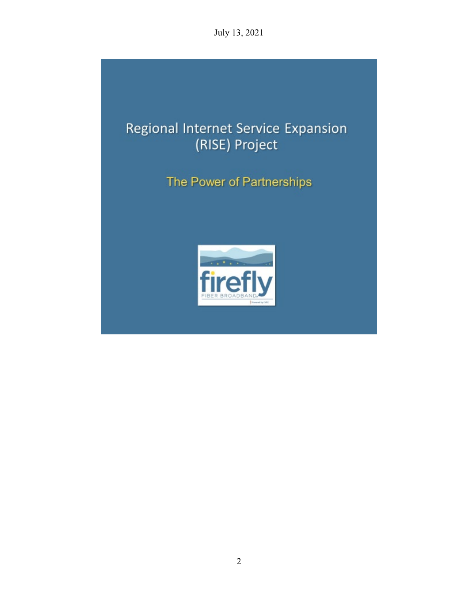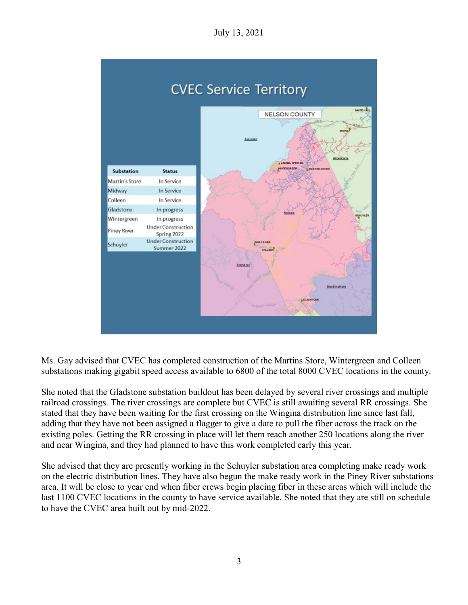

Ms. Gay advised that CVEC has completed construction of the Martins Store, Wintergreen and Colleen substations making gigabit speed access available to 6800 of the total 8000 CVEC locations in the county.

She noted that the Gladstone substation buildout has been delayed by several river crossings and multiple railroad crossings. The river crossings are complete but CVEC is still awaiting several RR crossings. She stated that they have been waiting for the first crossing on the Wingina distribution line since last fall, adding that they have not been assigned a flagger to give a date to pull the fiber across the track on the existing poles. Getting the RR crossing in place will let them reach another 250 locations along the river and near Wingina, and they had planned to have this work completed early this year.

She advised that they are presently working in the Schuyler substation area completing make ready work on the electric distribution lines. They have also begun the make ready work in the Piney River substations area. It will be close to year end when fiber crews begin placing fiber in these areas which will include the last 1100 CVEC locations in the county to have service available. She noted that they are still on schedule to have the CVEC area built out by mid-2022.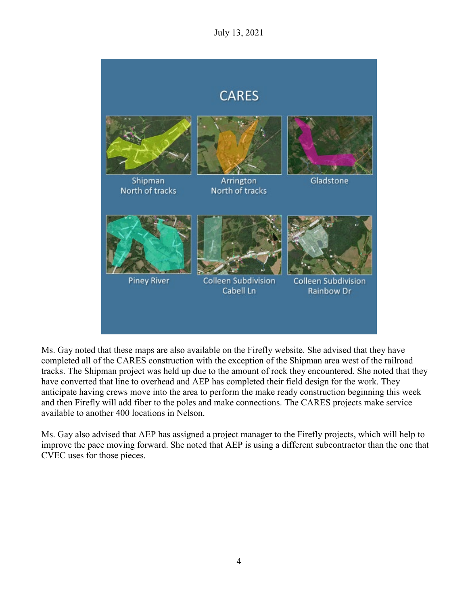

Ms. Gay noted that these maps are also available on the Firefly website. She advised that they have completed all of the CARES construction with the exception of the Shipman area west of the railroad tracks. The Shipman project was held up due to the amount of rock they encountered. She noted that they have converted that line to overhead and AEP has completed their field design for the work. They anticipate having crews move into the area to perform the make ready construction beginning this week and then Firefly will add fiber to the poles and make connections. The CARES projects make service available to another 400 locations in Nelson.

Ms. Gay also advised that AEP has assigned a project manager to the Firefly projects, which will help to improve the pace moving forward. She noted that AEP is using a different subcontractor than the one that CVEC uses for those pieces.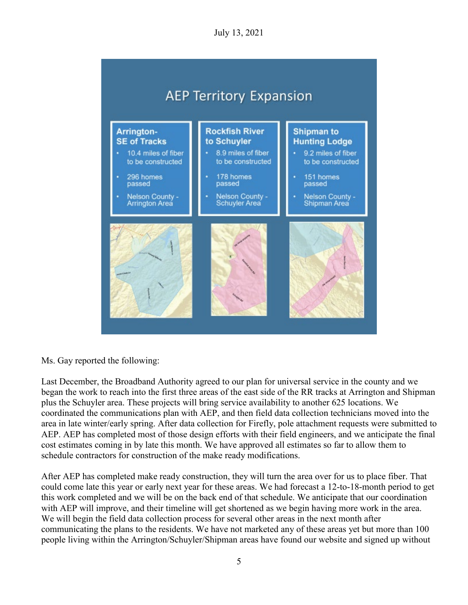

Ms. Gay reported the following:

Last December, the Broadband Authority agreed to our plan for universal service in the county and we began the work to reach into the first three areas of the east side of the RR tracks at Arrington and Shipman plus the Schuyler area. These projects will bring service availability to another 625 locations. We coordinated the communications plan with AEP, and then field data collection technicians moved into the area in late winter/early spring. After data collection for Firefly, pole attachment requests were submitted to AEP. AEP has completed most of those design efforts with their field engineers, and we anticipate the final cost estimates coming in by late this month. We have approved all estimates so far to allow them to schedule contractors for construction of the make ready modifications.

After AEP has completed make ready construction, they will turn the area over for us to place fiber. That could come late this year or early next year for these areas. We had forecast a 12-to-18-month period to get this work completed and we will be on the back end of that schedule. We anticipate that our coordination with AEP will improve, and their timeline will get shortened as we begin having more work in the area. We will begin the field data collection process for several other areas in the next month after communicating the plans to the residents. We have not marketed any of these areas yet but more than 100 people living within the Arrington/Schuyler/Shipman areas have found our website and signed up without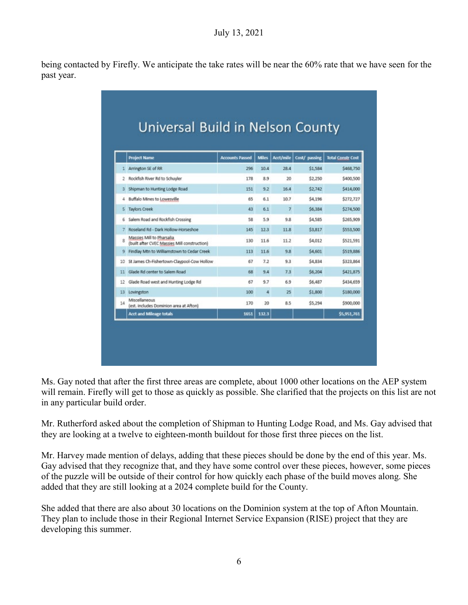being contacted by Firefly. We anticipate the take rates will be near the 60% rate that we have seen for the past year.

|                 | <b>Project Name</b>                                                       | <b>Accounts Passed</b> | <b>Miles</b> |                | Acct/mile Cost/ passing | <b>Total Constr Cost</b> |
|-----------------|---------------------------------------------------------------------------|------------------------|--------------|----------------|-------------------------|--------------------------|
|                 | 1 Arrington SE of RR                                                      | 296                    | 10.4         | 28.4           | \$1,584                 | \$468,750                |
| 2               | Rockfish River Rd to Schuyler                                             | 178                    | 8.9          | $20-$          | \$2,250                 | \$400,500                |
| 3               | Shipman to Hunting Lodge Road                                             | 151                    | 9.2          | 16.4           | \$2,742                 | \$414,000                |
| 4               | Buffalo Mines to Lowesville                                               | 65                     | 6.1          | 10.7           | \$4,196                 | \$272,727                |
| 5               | <b>Taylors Creek</b>                                                      | 43                     | 6.1          | $\overline{7}$ | \$6,384                 | \$274,500                |
| Б               | Salem Road and Rockfish Crossing                                          | 58                     | 5.9          | 9.8            | \$4,585                 | \$265,909                |
| 7               | Roseland Rd - Dark Hollow-Horseshoe                                       | 145                    | 12.3         | 11.8           | \$3,817                 | \$553,500                |
| ŝ               | Massies Mill to Pharsalia<br>(built after CVEC Massies Mill construction) | 130                    | 11.6         | 11.2           | \$4,012                 | \$521.591                |
| 9               | Findlay Mtn to Williamstown to Cedar Creek                                | 113                    | 11.6         | 9.8            | \$4,601                 | \$519,886                |
| 10              | St James Ch-Fishertown-Claypool-Cow Hollow                                | 67                     | 7.2          | 9.3            | \$4,834                 | \$323,864                |
| 11              | Glade Rd center to Salem Road                                             | 68                     | 9.4          | 7.3            | \$6,204                 | \$421,875                |
| 12              | Glade Road west and Hunting Lodge Rd                                      | 67                     | 9.7          | 6.9            | \$6,487                 | \$434,659                |
| 13 <sup>°</sup> | Lovingston                                                                | 100                    | 4            | 25             | \$1,800                 | \$180,000                |
| 14              | Miscellaneous<br>(est. Includes Dominion area at Afton)                   | 170                    | 20           | 8.5            | \$5,294                 | \$900,000                |
|                 | <b>Acct and Mileage totals</b>                                            | 1651                   | 132.3        |                |                         | \$5,951,761              |

Ms. Gay noted that after the first three areas are complete, about 1000 other locations on the AEP system will remain. Firefly will get to those as quickly as possible. She clarified that the projects on this list are not in any particular build order.

Mr. Rutherford asked about the completion of Shipman to Hunting Lodge Road, and Ms. Gay advised that they are looking at a twelve to eighteen-month buildout for those first three pieces on the list.

Mr. Harvey made mention of delays, adding that these pieces should be done by the end of this year. Ms. Gay advised that they recognize that, and they have some control over these pieces, however, some pieces of the puzzle will be outside of their control for how quickly each phase of the build moves along. She added that they are still looking at a 2024 complete build for the County.

She added that there are also about 30 locations on the Dominion system at the top of Afton Mountain. They plan to include those in their Regional Internet Service Expansion (RISE) project that they are developing this summer.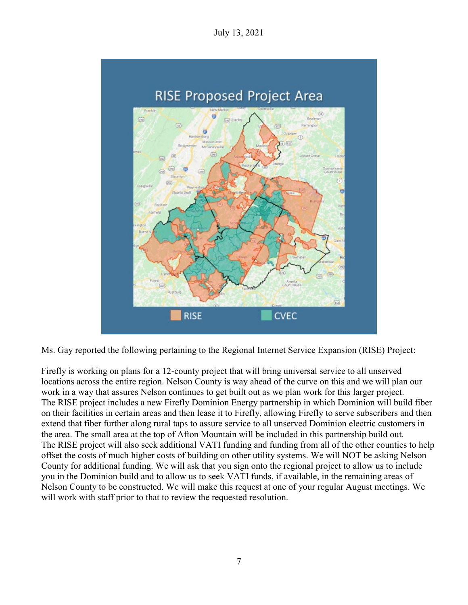

Ms. Gay reported the following pertaining to the Regional Internet Service Expansion (RISE) Project:

Firefly is working on plans for a 12-county project that will bring universal service to all unserved locations across the entire region. Nelson County is way ahead of the curve on this and we will plan our work in a way that assures Nelson continues to get built out as we plan work for this larger project. The RISE project includes a new Firefly Dominion Energy partnership in which Dominion will build fiber on their facilities in certain areas and then lease it to Firefly, allowing Firefly to serve subscribers and then extend that fiber further along rural taps to assure service to all unserved Dominion electric customers in the area. The small area at the top of Afton Mountain will be included in this partnership build out. The RISE project will also seek additional VATI funding and funding from all of the other counties to help offset the costs of much higher costs of building on other utility systems. We will NOT be asking Nelson County for additional funding. We will ask that you sign onto the regional project to allow us to include you in the Dominion build and to allow us to seek VATI funds, if available, in the remaining areas of Nelson County to be constructed. We will make this request at one of your regular August meetings. We will work with staff prior to that to review the requested resolution.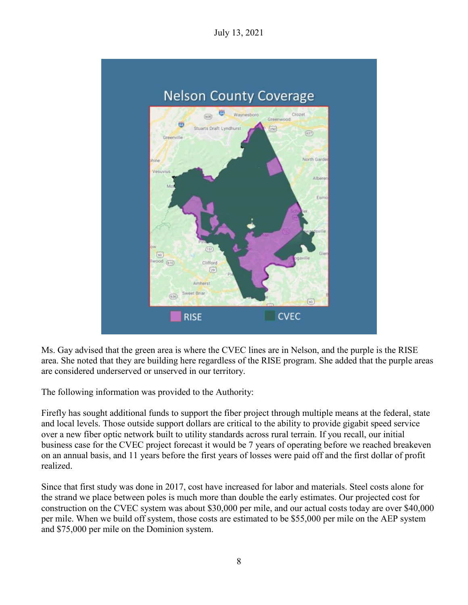

Ms. Gay advised that the green area is where the CVEC lines are in Nelson, and the purple is the RISE area. She noted that they are building here regardless of the RISE program. She added that the purple areas are considered underserved or unserved in our territory.

The following information was provided to the Authority:

Firefly has sought additional funds to support the fiber project through multiple means at the federal, state and local levels. Those outside support dollars are critical to the ability to provide gigabit speed service over a new fiber optic network built to utility standards across rural terrain. If you recall, our initial business case for the CVEC project forecast it would be 7 years of operating before we reached breakeven on an annual basis, and 11 years before the first years of losses were paid off and the first dollar of profit realized.

Since that first study was done in 2017, cost have increased for labor and materials. Steel costs alone for the strand we place between poles is much more than double the early estimates. Our projected cost for construction on the CVEC system was about \$30,000 per mile, and our actual costs today are over \$40,000 per mile. When we build off system, those costs are estimated to be \$55,000 per mile on the AEP system and \$75,000 per mile on the Dominion system.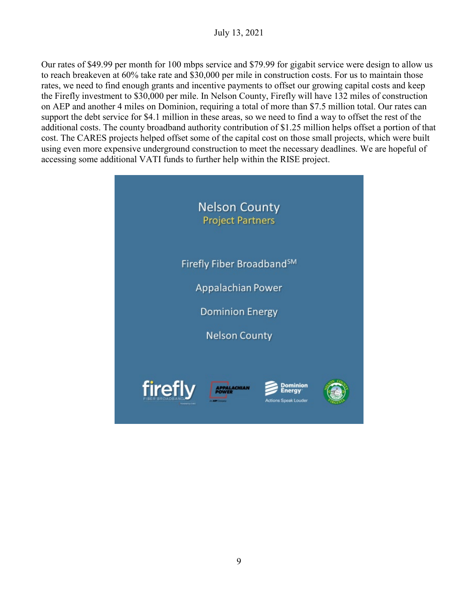Our rates of \$49.99 per month for 100 mbps service and \$79.99 for gigabit service were design to allow us to reach breakeven at 60% take rate and \$30,000 per mile in construction costs. For us to maintain those rates, we need to find enough grants and incentive payments to offset our growing capital costs and keep the Firefly investment to \$30,000 per mile. In Nelson County, Firefly will have 132 miles of construction on AEP and another 4 miles on Dominion, requiring a total of more than \$7.5 million total. Our rates can support the debt service for \$4.1 million in these areas, so we need to find a way to offset the rest of the additional costs. The county broadband authority contribution of \$1.25 million helps offset a portion of that cost. The CARES projects helped offset some of the capital cost on those small projects, which were built using even more expensive underground construction to meet the necessary deadlines. We are hopeful of accessing some additional VATI funds to further help within the RISE project.

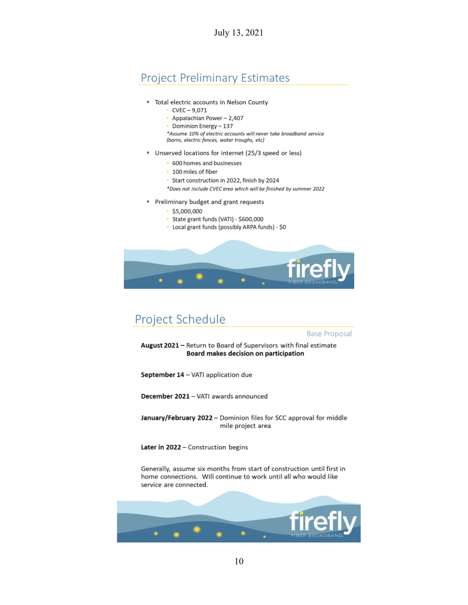# **Project Preliminary Estimates**

- " Total electric accounts in Nelson County
	- $\cdot$  CVEC 9,071
	- Appalachian Power 2,407
	- Dominion Energy 137

\*Assume 10% of electric accounts will never take broadband service (barns, electric fences, water troughs, etc)

- Unserved locations for internet (25/3 speed or less)
	- 600 homes and businesses
	- 100 miles of fiber
	- Start construction in 2022, finish by 2024
	- \*Does not include CVEC area which will be finished by summer 2022
- Preliminary budget and grant requests ĭ
	- $\cdot$ \$5,000,000
	- · State grant funds (VATI) \$600,000
	- Local grant funds (possibly ARPA funds) \$0



# Project Schedule

**Base Proposal** 

August 2021 - Return to Board of Supervisors with final estimate Board makes decision on participation

September 14 - VATI application due

December 2021 - VATI awards announced

January/February 2022 - Dominion files for SCC approval for middle mile project area

Later in 2022 - Construction begins

Generally, assume six months from start of construction until first in home connections. Will continue to work until all who would like service are connected.

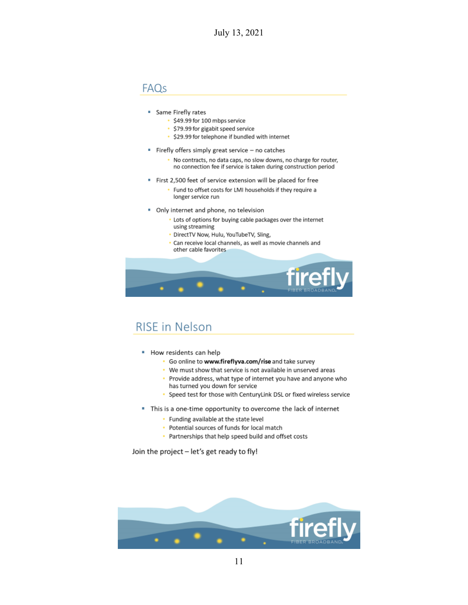## FAQs

- Same Firefly rates
	- · \$49.99 for 100 mbps service
	- \$79.99 for gigabit speed service
	- · \$29.99 for telephone if bundled with internet
- " Firefly offers simply great service no catches
	- No contracts, no data caps, no slow downs, no charge for router, no connection fee if service is taken during construction period
- First 2,500 feet of service extension will be placed for free
	- Fund to offset costs for LMI households if they require a longer service run
- Only internet and phone, no television ×,
	- . Lots of options for buying cable packages over the internet using streaming
	- · DirectTV Now, Hulu, YouTubeTV, Sling,
	- · Can receive local channels, as well as movie channels and other cable favorites



# **RISE** in Nelson

- " How residents can help
	- · Go online to www.fireflyva.com/rise and take survey
	- We must show that service is not available in unserved areas
	- Provide address, what type of internet you have and anyone who has turned you down for service
	- Speed test for those with CenturyLink DSL or fixed wireless service ×.
- " This is a one-time opportunity to overcome the lack of internet
	- Funding available at the state level
	- Potential sources of funds for local match
	- Partnerships that help speed build and offset costs

Join the project - let's get ready to fly!

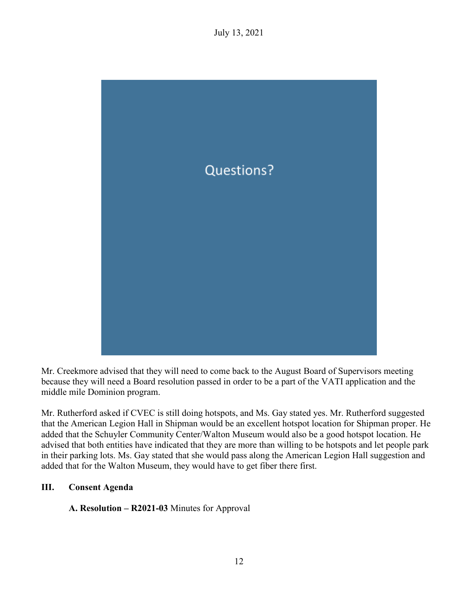

Mr. Creekmore advised that they will need to come back to the August Board of Supervisors meeting because they will need a Board resolution passed in order to be a part of the VATI application and the middle mile Dominion program.

Mr. Rutherford asked if CVEC is still doing hotspots, and Ms. Gay stated yes. Mr. Rutherford suggested that the American Legion Hall in Shipman would be an excellent hotspot location for Shipman proper. He added that the Schuyler Community Center/Walton Museum would also be a good hotspot location. He advised that both entities have indicated that they are more than willing to be hotspots and let people park in their parking lots. Ms. Gay stated that she would pass along the American Legion Hall suggestion and added that for the Walton Museum, they would have to get fiber there first.

## **III. Consent Agenda**

**A. Resolution – R2021-03** Minutes for Approval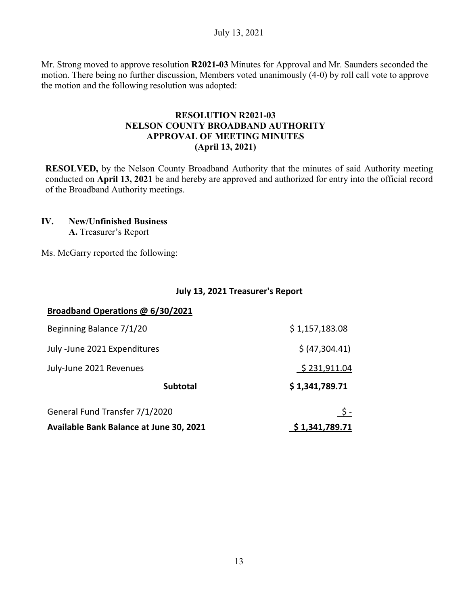Mr. Strong moved to approve resolution **R2021-03** Minutes for Approval and Mr. Saunders seconded the motion. There being no further discussion, Members voted unanimously (4-0) by roll call vote to approve the motion and the following resolution was adopted:

#### **RESOLUTION R2021-03 NELSON COUNTY BROADBAND AUTHORITY APPROVAL OF MEETING MINUTES (April 13, 2021)**

**RESOLVED,** by the Nelson County Broadband Authority that the minutes of said Authority meeting conducted on **April 13, 2021** be and hereby are approved and authorized for entry into the official record of the Broadband Authority meetings.

#### **IV. New/Unfinished Business A.** Treasurer's Report

Ms. McGarry reported the following:

#### **July 13, 2021 Treasurer's Report**

| Broadband Operations @ 6/30/2021        |                |
|-----------------------------------------|----------------|
| Beginning Balance 7/1/20                | \$1,157,183.08 |
| July -June 2021 Expenditures            | \$ (47,304.41) |
| July-June 2021 Revenues                 | \$231,911.04   |
| <b>Subtotal</b>                         | \$1,341,789.71 |
| General Fund Transfer 7/1/2020          | <u>\$ -</u>    |
| Available Bank Balance at June 30, 2021 | \$1,341,789.71 |